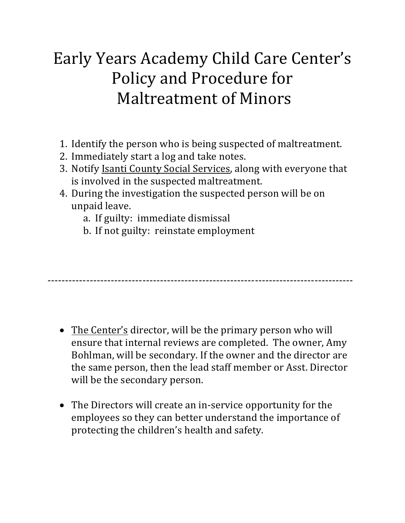# Early Years Academy Child Care Center's Policy and Procedure for Maltreatment of Minors

- 1. Identify the person who is being suspected of maltreatment.
- 2. Immediately start a log and take notes.
- 3. Notify Isanti County Social Services, along with everyone that is involved in the suspected maltreatment.
- 4. During the investigation the suspected person will be on unpaid leave.
	- a. If guilty: immediate dismissal
	- b. If not guilty: reinstate employment

---------------------------------------------------------------------------------------

- The Center's director, will be the primary person who will ensure that internal reviews are completed. The owner, Amy Bohlman, will be secondary. If the owner and the director are the same person, then the lead staff member or Asst. Director will be the secondary person.
- The Directors will create an in-service opportunity for the employees so they can better understand the importance of protecting the children's health and safety.